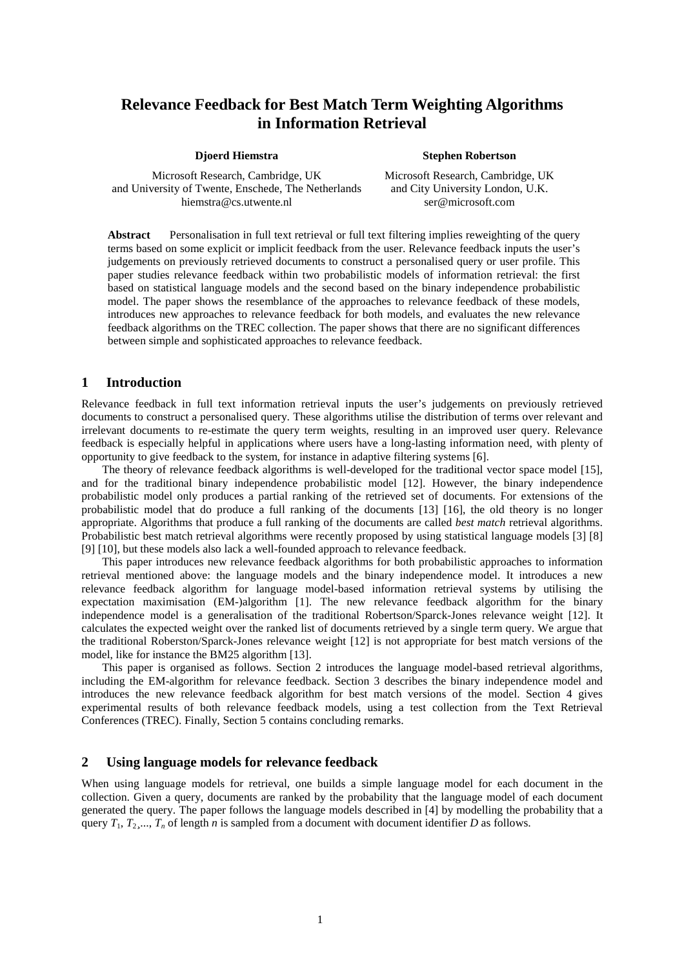# **Relevance Feedback for Best Match Term Weighting Algorithms in Information Retrieval**

**Djoerd Hiemstra**

**Stephen Robertson**

Microsoft Research, Cambridge, UK and University of Twente, Enschede, The Netherlands hiemstra@cs.utwente.nl

Microsoft Research, Cambridge, UK and City University London, U.K. ser@microsoft.com

**Abstract** Personalisation in full text retrieval or full text filtering implies reweighting of the query terms based on some explicit or implicit feedback from the user. Relevance feedback inputs the user's judgements on previously retrieved documents to construct a personalised query or user profile. This paper studies relevance feedback within two probabilistic models of information retrieval: the first based on statistical language models and the second based on the binary independence probabilistic model. The paper shows the resemblance of the approaches to relevance feedback of these models, introduces new approaches to relevance feedback for both models, and evaluates the new relevance feedback algorithms on the TREC collection. The paper shows that there are no significant differences between simple and sophisticated approaches to relevance feedback.

## **1 Introduction**

Relevance feedback in full text information retrieval inputs the user's judgements on previously retrieved documents to construct a personalised query. These algorithms utilise the distribution of terms over relevant and irrelevant documents to re-estimate the query term weights, resulting in an improved user query. Relevance feedback is especially helpful in applications where users have a long-lasting information need, with plenty of opportunity to give feedback to the system, for instance in adaptive filtering systems [6].

The theory of relevance feedback algorithms is well-developed for the traditional vector space model [15], and for the traditional binary independence probabilistic model [12]. However, the binary independence probabilistic model only produces a partial ranking of the retrieved set of documents. For extensions of the probabilistic model that do produce a full ranking of the documents [13] [16], the old theory is no longer appropriate. Algorithms that produce a full ranking of the documents are called *best match* retrieval algorithms. Probabilistic best match retrieval algorithms were recently proposed by using statistical language models [3] [8] [9] [10], but these models also lack a well-founded approach to relevance feedback.

This paper introduces new relevance feedback algorithms for both probabilistic approaches to information retrieval mentioned above: the language models and the binary independence model. It introduces a new relevance feedback algorithm for language model-based information retrieval systems by utilising the expectation maximisation (EM-)algorithm [1]. The new relevance feedback algorithm for the binary independence model is a generalisation of the traditional Robertson/Sparck-Jones relevance weight [12]. It calculates the expected weight over the ranked list of documents retrieved by a single term query. We argue that the traditional Roberston/Sparck-Jones relevance weight [12] is not appropriate for best match versions of the model, like for instance the BM25 algorithm [13].

This paper is organised as follows. Section 2 introduces the language model-based retrieval algorithms, including the EM-algorithm for relevance feedback. Section 3 describes the binary independence model and introduces the new relevance feedback algorithm for best match versions of the model. Section 4 gives experimental results of both relevance feedback models, using a test collection from the Text Retrieval Conferences (TREC). Finally, Section 5 contains concluding remarks.

## **2 Using language models for relevance feedback**

When using language models for retrieval, one builds a simple language model for each document in the collection. Given a query, documents are ranked by the probability that the language model of each document generated the query. The paper follows the language models described in [4] by modelling the probability that a query  $T_1, T_2, \ldots, T_n$  of length *n* is sampled from a document with document identifier *D* as follows.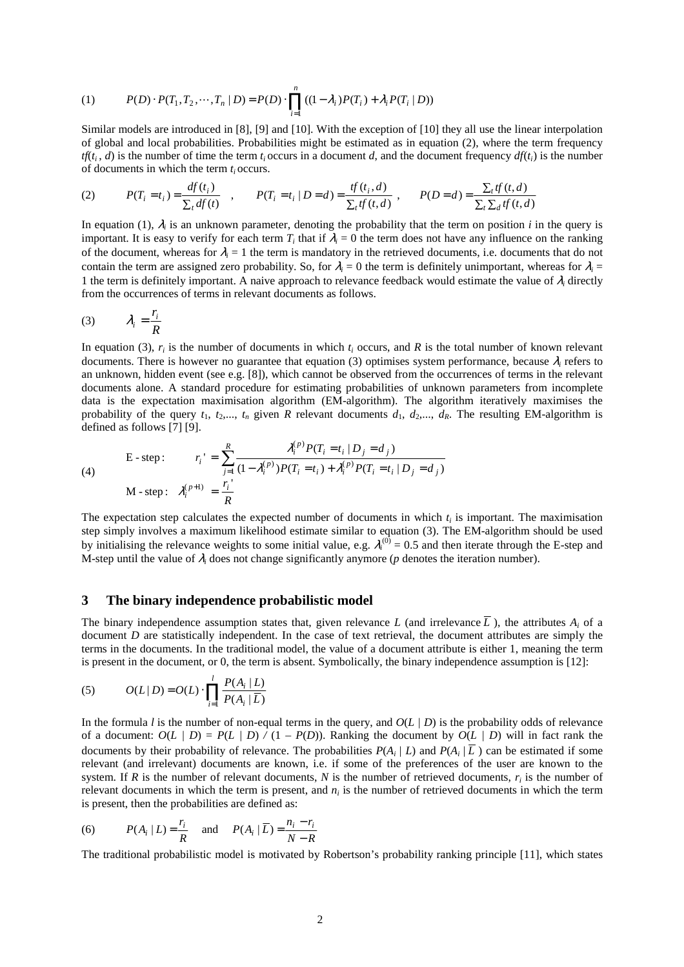(1) 
$$
P(D) \cdot P(T_1, T_2, \cdots, T_n | D) = P(D) \cdot \prod_{i=1}^n ((1 - \lambda_i) P(T_i) + \lambda_i P(T_i | D))
$$

Similar models are introduced in [8], [9] and [10]. With the exception of [10] they all use the linear interpolation of global and local probabilities. Probabilities might be estimated as in equation (2), where the term frequency  $tf(t_i, d)$  is the number of time the term  $t_i$  occurs in a document *d*, and the document frequency  $df(t_i)$  is the number of documents in which the term *t<sup>i</sup>* occurs.

(2) 
$$
P(T_i = t_i) = \frac{df(t_i)}{\sum_t df(t_i)}, \qquad P(T_i = t_i | D = d) = \frac{tf(t_i, d)}{\sum_t tf(t, d)}, \qquad P(D = d) = \frac{\sum_t tf(t, d)}{\sum_t \sum_d tf(t, d)}
$$

In equation (1), <sup>λ</sup>*<sup>i</sup>* is an unknown parameter, denoting the probability that the term on position *i* in the query is important. It is easy to verify for each term  $T_i$  that if  $\lambda_i = 0$  the term does not have any influence on the ranking of the document, whereas for  $\lambda_i = 1$  the term is mandatory in the retrieved documents, i.e. documents that do not contain the term are assigned zero probability. So, for  $\lambda_i = 0$  the term is definitely unimportant, whereas for  $\lambda_i =$ 1 the term is definitely important. A naive approach to relevance feedback would estimate the value of  $\lambda_i$  directly from the occurrences of terms in relevant documents as follows.

$$
(3) \qquad \lambda_i = \frac{r_i}{R}
$$

In equation (3),  $r_i$  is the number of documents in which  $t_i$  occurs, and  $R$  is the total number of known relevant documents. There is however no guarantee that equation (3) optimises system performance, because <sup>λ</sup>*<sup>i</sup>* refers to an unknown, hidden event (see e.g. [8]), which cannot be observed from the occurrences of terms in the relevant documents alone. A standard procedure for estimating probabilities of unknown parameters from incomplete data is the expectation maximisation algorithm (EM-algorithm). The algorithm iteratively maximises the probability of the query  $t_1$ ,  $t_2$ ,...,  $t_n$  given *R* relevant documents  $d_1$ ,  $d_2$ ,...,  $d_R$ . The resulting EM-algorithm is defined as follows [7] [9].

(4)   
\n
$$
E - \text{step:} \qquad r_i' = \sum_{j=1}^R \frac{\lambda_i^{(p)} P(T_i = t_i \mid D_j = d_j)}{(1 - \lambda_i^{(p)}) P(T_i = t_i) + \lambda_i^{(p)} P(T_i = t_i \mid D_j = d_j)}
$$
\n
$$
M - \text{step:} \quad \lambda_i^{(p+1)} = \frac{r_i'}{R}
$$

The expectation step calculates the expected number of documents in which  $t_i$  is important. The maximisation step simply involves a maximum likelihood estimate similar to equation (3). The EM-algorithm should be used by initialising the relevance weights to some initial value, e.g.  $\lambda_i^{(0)} = 0.5$  and then iterate through the E-step and M-step until the value of  $\lambda_i$  does not change significantly anymore ( $p$  denotes the iteration number).

#### **3 The binary independence probabilistic model**

The binary independence assumption states that, given relevance L (and irrelevance  $\overline{L}$ ), the attributes  $A_i$  of a document *D* are statistically independent. In the case of text retrieval, the document attributes are simply the terms in the documents. In the traditional model, the value of a document attribute is either 1, meaning the term is present in the document, or 0, the term is absent. Symbolically, the binary independence assumption is [12]:

(5) 
$$
O(L | D) = O(L) \cdot \prod_{i=1}^{l} \frac{P(A_i | L)}{P(A_i | \overline{L})}
$$

In the formula *l* is the number of non-equal terms in the query, and  $O(L/D)$  is the probability odds of relevance of a document:  $O(L | D) = P(L | D) / (1 - P(D))$ . Ranking the document by  $O(L | D)$  will in fact rank the documents by their probability of relevance. The probabilities  $P(A_i | L)$  and  $P(A_i | L)$  can be estimated if some relevant (and irrelevant) documents are known, i.e. if some of the preferences of the user are known to the system. If  $R$  is the number of relevant documents,  $N$  is the number of retrieved documents,  $r_i$  is the number of relevant documents in which the term is present, and *n<sup>i</sup>* is the number of retrieved documents in which the term is present, then the probabilities are defined as:

(6) 
$$
P(A_i | L) = \frac{r_i}{R}
$$
 and  $P(A_i | \overline{L}) = \frac{n_i - r_i}{N - R}$ 

The traditional probabilistic model is motivated by Robertson's probability ranking principle [11], which states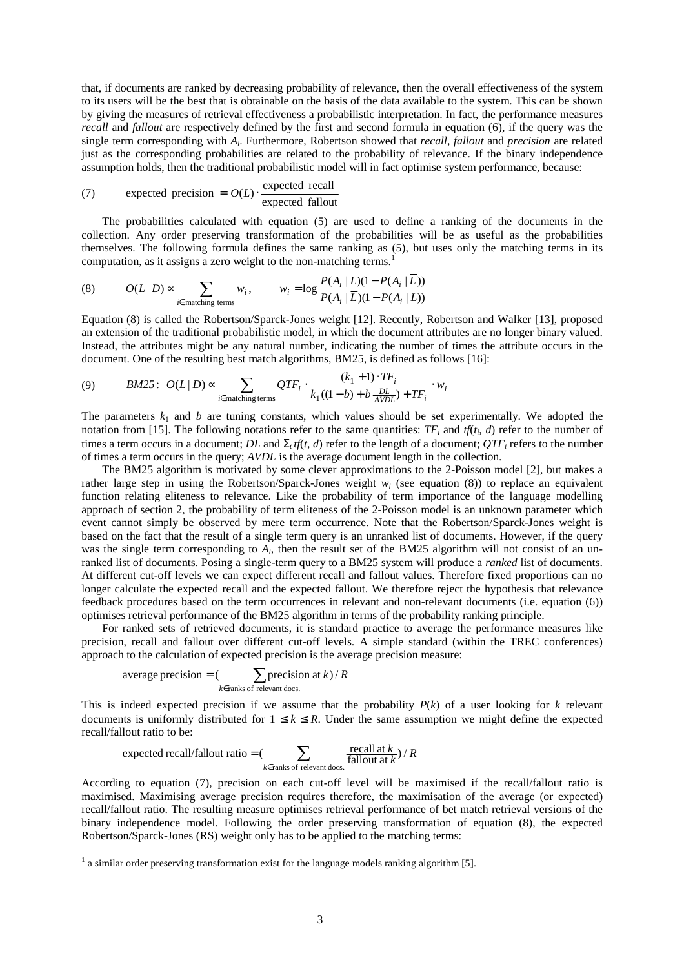that, if documents are ranked by decreasing probability of relevance, then the overall effectiveness of the system to its users will be the best that is obtainable on the basis of the data available to the system. This can be shown by giving the measures of retrieval effectiveness a probabilistic interpretation. In fact, the performance measures *recall* and *fallout* are respectively defined by the first and second formula in equation (6), if the query was the single term corresponding with *A<sup>i</sup>* . Furthermore, Robertson showed that *recall*, *fallout* and *precision* are related just as the corresponding probabilities are related to the probability of relevance. If the binary independence assumption holds, then the traditional probabilistic model will in fact optimise system performance, because:

(7) expected precision = 
$$
O(L) \cdot \frac{\text{expected recall}}{\text{expected fallout}}
$$

The probabilities calculated with equation (5) are used to define a ranking of the documents in the collection. Any order preserving transformation of the probabilities will be as useful as the probabilities themselves. The following formula defines the same ranking as (5), but uses only the matching terms in its computation, as it assigns a zero weight to the non-matching terms.<sup>1</sup>

(8) 
$$
O(L | D) \propto \sum_{i \in \text{ matching terms}} w_i, \qquad w_i = \log \frac{P(A_i | L)(1 - P(A_i | L))}{P(A_i | \overline{L})(1 - P(A_i | L))}
$$

Equation (8) is called the Robertson/Sparck-Jones weight [12]. Recently, Robertson and Walker [13], proposed an extension of the traditional probabilistic model, in which the document attributes are no longer binary valued. Instead, the attributes might be any natural number, indicating the number of times the attribute occurs in the document. One of the resulting best match algorithms, BM25, is defined as follows [16]:

$$
(9) \qquad BM25: \quad O(L \mid D) \propto \sum_{i \in \text{matching terms}} QTF_i \cdot \frac{(k_1 + 1) \cdot TF_i}{k_1((1 - b) + b \frac{DL}{AVDL}) + TF_i} \cdot w_i
$$

The parameters  $k_1$  and *b* are tuning constants, which values should be set experimentally. We adopted the notation from [15]. The following notations refer to the same quantities:  $TF_i$  and  $tf(t_i, d)$  refer to the number of times a term occurs in a document;  $DL$  and  $\Sigma_t$  *tf*(*t, d*) refer to the length of a document;  $QTF_i$  refers to the number of times a term occurs in the query; *AVDL* is the average document length in the collection.

The BM25 algorithm is motivated by some clever approximations to the 2-Poisson model [2], but makes a rather large step in using the Robertson/Sparck-Jones weight  $w_i$  (see equation (8)) to replace an equivalent function relating eliteness to relevance. Like the probability of term importance of the language modelling approach of section 2, the probability of term eliteness of the 2-Poisson model is an unknown parameter which event cannot simply be observed by mere term occurrence. Note that the Robertson/Sparck-Jones weight is based on the fact that the result of a single term query is an unranked list of documents. However, if the query was the single term corresponding to  $A_i$ , then the result set of the BM25 algorithm will not consist of an unranked list of documents. Posing a single-term query to a BM25 system will produce a *ranked* list of documents. At different cut-off levels we can expect different recall and fallout values. Therefore fixed proportions can no longer calculate the expected recall and the expected fallout. We therefore reject the hypothesis that relevance feedback procedures based on the term occurrences in relevant and non-relevant documents (i.e. equation (6)) optimises retrieval performance of the BM25 algorithm in terms of the probability ranking principle.

For ranked sets of retrieved documents, it is standard practice to average the performance measures like precision, recall and fallout over different cut-off levels. A simple standard (within the TREC conferences) approach to the calculation of expected precision is the average precision measure:

average precision = 
$$
\sum_{k \in \text{ranks of relevant docs.}} \text{precision at } k)/R
$$

This is indeed expected precision if we assume that the probability  $P(k)$  of a user looking for  $k$  relevant documents is uniformly distributed for  $1 \le k \le R$ . Under the same assumption we might define the expected recall/fallout ratio to be:

expected recall/fallout ratio = 
$$
\sum_{k \in \text{ranks of relevant docs.}} \frac{\text{recall at } k}{\text{fallout at } k} / R
$$

According to equation (7), precision on each cut-off level will be maximised if the recall/fallout ratio is maximised. Maximising average precision requires therefore, the maximisation of the average (or expected) recall/fallout ratio. The resulting measure optimises retrieval performance of bet match retrieval versions of the binary independence model. Following the order preserving transformation of equation (8), the expected Robertson/Sparck-Jones (RS) weight only has to be applied to the matching terms:

 $<sup>1</sup>$  a similar order preserving transformation exist for the language models ranking algorithm [5].</sup>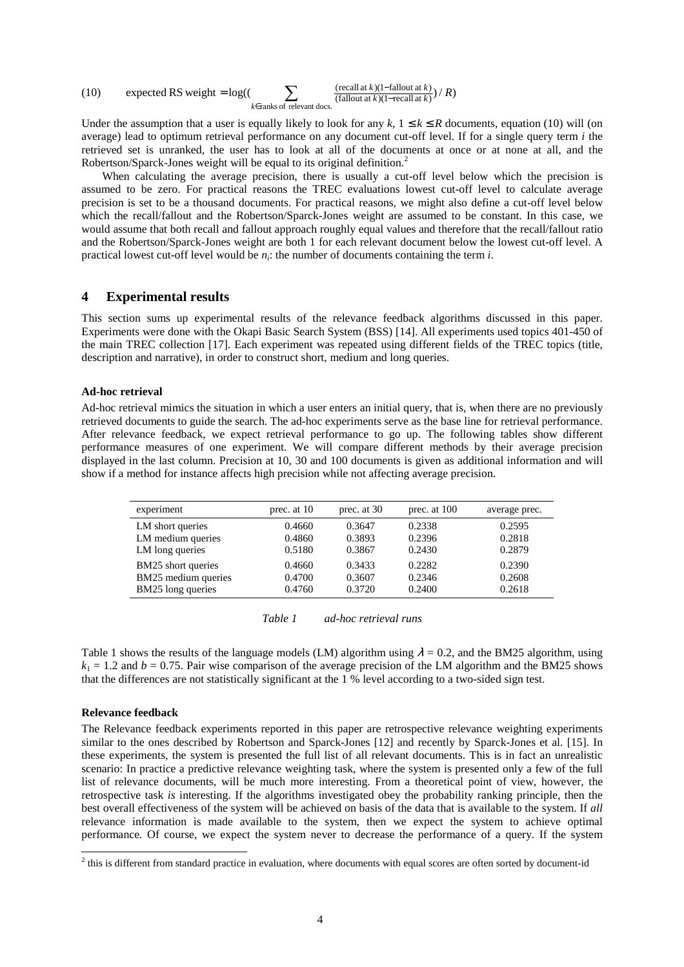(10) expected RS weight = 
$$
\log((\sum_{k \in \text{ranks of relevant does.}} \frac{(\text{recall at } k)(1-\text{fallout at } k)}{(\text{fallout at } k)(1-\text{recall at } k)}) / R)
$$

Under the assumption that a user is equally likely to look for any  $k, 1 \le k \le R$  documents, equation (10) will (on average) lead to optimum retrieval performance on any document cut-off level. If for a single query term *i* the retrieved set is unranked, the user has to look at all of the documents at once or at none at all, and the Robertson/Sparck-Jones weight will be equal to its original definition.<sup>2</sup>

When calculating the average precision, there is usually a cut-off level below which the precision is assumed to be zero. For practical reasons the TREC evaluations lowest cut-off level to calculate average precision is set to be a thousand documents. For practical reasons, we might also define a cut-off level below which the recall/fallout and the Robertson/Sparck-Jones weight are assumed to be constant. In this case, we would assume that both recall and fallout approach roughly equal values and therefore that the recall/fallout ratio and the Robertson/Sparck-Jones weight are both 1 for each relevant document below the lowest cut-off level. A practical lowest cut-off level would be  $n_i$ : the number of documents containing the term *i*.

### **4 Experimental results**

This section sums up experimental results of the relevance feedback algorithms discussed in this paper. Experiments were done with the Okapi Basic Search System (BSS) [14]. All experiments used topics 401-450 of the main TREC collection [17]. Each experiment was repeated using different fields of the TREC topics (title, description and narrative), in order to construct short, medium and long queries.

#### **Ad-hoc retrieval**

Ad-hoc retrieval mimics the situation in which a user enters an initial query, that is, when there are no previously retrieved documents to guide the search. The ad-hoc experiments serve as the base line for retrieval performance. After relevance feedback, we expect retrieval performance to go up. The following tables show different performance measures of one experiment. We will compare different methods by their average precision displayed in the last column. Precision at 10, 30 and 100 documents is given as additional information and will show if a method for instance affects high precision while not affecting average precision.

| experiment          | prec. at 10 | prec. at 30 | prec. at 100 | average prec. |
|---------------------|-------------|-------------|--------------|---------------|
| LM short queries    | 0.4660      | 0.3647      | 0.2338       | 0.2595        |
| LM medium queries   | 0.4860      | 0.3893      | 0.2396       | 0.2818        |
| LM long queries     | 0.5180      | 0.3867      | 0.2430       | 0.2879        |
| BM25 short queries  | 0.4660      | 0.3433      | 0.2282       | 0.2390        |
| BM25 medium queries | 0.4700      | 0.3607      | 0.2346       | 0.2608        |
| BM25 long queries   | 0.4760      | 0.3720      | 0.2400       | 0.2618        |

| Table 1 | ad-hoc retrieval runs |  |
|---------|-----------------------|--|
|         |                       |  |

Table 1 shows the results of the language models (LM) algorithm using  $\lambda = 0.2$ , and the BM25 algorithm, using  $k_1 = 1.2$  and  $b = 0.75$ . Pair wise comparison of the average precision of the LM algorithm and the BM25 shows that the differences are not statistically significant at the 1 % level according to a two-sided sign test.

#### **Relevance feedback**

The Relevance feedback experiments reported in this paper are retrospective relevance weighting experiments similar to the ones described by Robertson and Sparck-Jones [12] and recently by Sparck-Jones et al. [15]. In these experiments, the system is presented the full list of all relevant documents. This is in fact an unrealistic scenario: In practice a predictive relevance weighting task, where the system is presented only a few of the full list of relevance documents, will be much more interesting. From a theoretical point of view, however, the retrospective task *is* interesting. If the algorithms investigated obey the probability ranking principle, then the best overall effectiveness of the system will be achieved on basis of the data that is available to the system. If *all* relevance information is made available to the system, then we expect the system to achieve optimal performance. Of course, we expect the system never to decrease the performance of a query. If the system

 $2$  this is different from standard practice in evaluation, where documents with equal scores are often sorted by document-id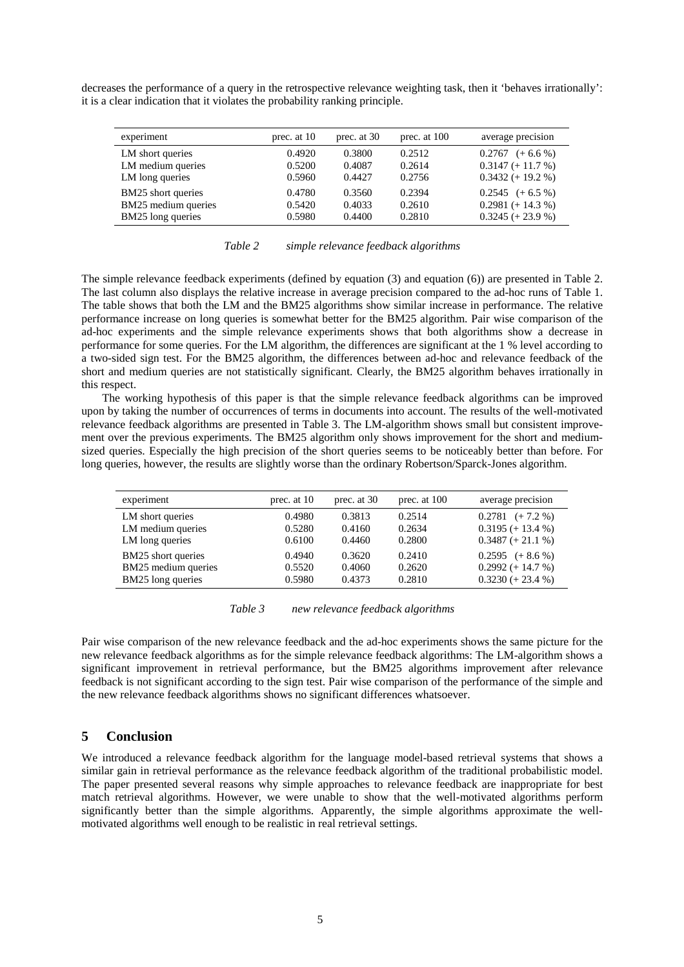decreases the performance of a query in the retrospective relevance weighting task, then it 'behaves irrationally': it is a clear indication that it violates the probability ranking principle.

| experiment          | prec. at 10 | prec. at 30 | prec. at 100 | average precision    |
|---------------------|-------------|-------------|--------------|----------------------|
| LM short queries    | 0.4920      | 0.3800      | 0.2512       | $0.2767$ $(+ 6.6 %)$ |
| LM medium queries   | 0.5200      | 0.4087      | 0.2614       | $0.3147 (+ 11.7 %)$  |
| LM long queries     | 0.5960      | 0.4427      | 0.2756       | $0.3432 (+ 19.2 %)$  |
| BM25 short queries  | 0.4780      | 0.3560      | 0.2394       | $0.2545$ $(+ 6.5 %)$ |
| BM25 medium queries | 0.5420      | 0.4033      | 0.2610       | $0.2981 (+ 14.3 %)$  |
| BM25 long queries   | 0.5980      | 0.4400      | 0.2810       | $0.3245 (+ 23.9 %)$  |

| Table 2<br>simple relevance feedback algorithms |  |
|-------------------------------------------------|--|
|-------------------------------------------------|--|

The simple relevance feedback experiments (defined by equation (3) and equation (6)) are presented in Table 2. The last column also displays the relative increase in average precision compared to the ad-hoc runs of Table 1. The table shows that both the LM and the BM25 algorithms show similar increase in performance. The relative performance increase on long queries is somewhat better for the BM25 algorithm. Pair wise comparison of the ad-hoc experiments and the simple relevance experiments shows that both algorithms show a decrease in performance for some queries. For the LM algorithm, the differences are significant at the 1 % level according to a two-sided sign test. For the BM25 algorithm, the differences between ad-hoc and relevance feedback of the short and medium queries are not statistically significant. Clearly, the BM25 algorithm behaves irrationally in this respect.

The working hypothesis of this paper is that the simple relevance feedback algorithms can be improved upon by taking the number of occurrences of terms in documents into account. The results of the well-motivated relevance feedback algorithms are presented in Table 3. The LM-algorithm shows small but consistent improvement over the previous experiments. The BM25 algorithm only shows improvement for the short and mediumsized queries. Especially the high precision of the short queries seems to be noticeably better than before. For long queries, however, the results are slightly worse than the ordinary Robertson/Sparck-Jones algorithm.

| experiment          | prec. at 10 | prec. at 30 | prec. at 100 | average precision    |
|---------------------|-------------|-------------|--------------|----------------------|
| LM short queries    | 0.4980      | 0.3813      | 0.2514       | $0.2781$ $(+ 7.2 %)$ |
| LM medium queries   | 0.5280      | 0.4160      | 0.2634       | $0.3195 (+ 13.4 %)$  |
| LM long queries     | 0.6100      | 0.4460      | 0.2800       | $0.3487 (+ 21.1 %)$  |
| BM25 short queries  | 0.4940      | 0.3620      | 0.2410       | $0.2595$ $(+ 8.6 %)$ |
| BM25 medium queries | 0.5520      | 0.4060      | 0.2620       | $0.2992 (+ 14.7 %)$  |
| BM25 long queries   | 0.5980      | 0.4373      | 0.2810       | $0.3230 (+ 23.4 %)$  |

*Table 3 new relevance feedback algorithms*

Pair wise comparison of the new relevance feedback and the ad-hoc experiments shows the same picture for the new relevance feedback algorithms as for the simple relevance feedback algorithms: The LM-algorithm shows a significant improvement in retrieval performance, but the BM25 algorithms improvement after relevance feedback is not significant according to the sign test. Pair wise comparison of the performance of the simple and the new relevance feedback algorithms shows no significant differences whatsoever.

# **5 Conclusion**

We introduced a relevance feedback algorithm for the language model-based retrieval systems that shows a similar gain in retrieval performance as the relevance feedback algorithm of the traditional probabilistic model. The paper presented several reasons why simple approaches to relevance feedback are inappropriate for best match retrieval algorithms. However, we were unable to show that the well-motivated algorithms perform significantly better than the simple algorithms. Apparently, the simple algorithms approximate the wellmotivated algorithms well enough to be realistic in real retrieval settings.